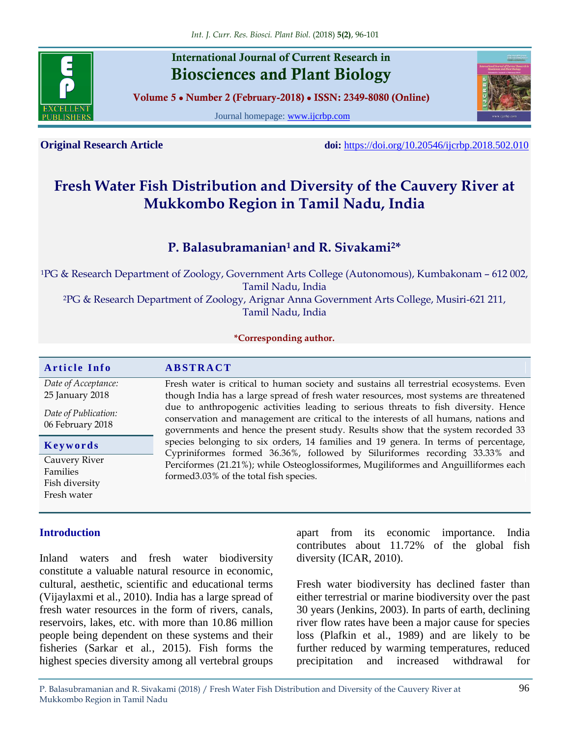

## **International Journal of Current Research in Biosciences and Plant Biology**

**Volume 5 ● Number 2 (February-2018) ● ISSN: 2349-8080 (Online)**

Journal homepage: [www.ijcrbp.com](http://www.ijcrbp.com/)



**Original Research Article doi:** <https://doi.org/10.20546/ijcrbp.2018.502.010>

# **Fresh Water Fish Distribution and Diversity of the Cauvery River at Mukkombo Region in Tamil Nadu, India**

### **P. Balasubramanian<sup>1</sup> and R. Sivakami2\***

<sup>1</sup>PG & Research Department of Zoology, Government Arts College (Autonomous), Kumbakonam – 612 002, Tamil Nadu, India <sup>2</sup>PG & Research Department of Zoology, Arignar Anna Government Arts College, Musiri-621 211, Tamil Nadu, India

#### **\*Corresponding author.**

#### **A r t i c l e I n f o A B S T R A C T** *Date of Acceptance:* 25 January 2018 *Date of Publication:* 06 February 2018 Fresh water is critical to human society and sustains all terrestrial ecosystems. Even though India has a large spread of fresh water resources, most systems are threatened due to anthropogenic activities leading to serious threats to fish diversity. Hence conservation and management are critical to the interests of all humans, nations and governments and hence the present study. Results show that the system recorded 33 species belonging to six orders, 14 families and 19 genera. In terms of percentage, Cypriniformes formed 36.36%, followed by Siluriformes recording 33.33% and Perciformes (21.21%); while Osteoglossiformes, Mugiliformes and Anguilliformes each formed3.03% of the total fish species. **K e y w o r d s** Cauvery River Families Fish diversity Fresh water

#### **Introduction**

Inland waters and fresh water biodiversity constitute a valuable natural resource in economic, cultural, aesthetic, scientific and educational terms (Vijaylaxmi et al., 2010). India has a large spread of fresh water resources in the form of rivers, canals, reservoirs, lakes, etc. with more than 10.86 million people being dependent on these systems and their fisheries (Sarkar et al*.*, 2015). Fish forms the highest species diversity among all vertebral groups

apart from its economic importance. India contributes about 11.72% of the global fish diversity (ICAR, 2010).

Fresh water biodiversity has declined faster than either terrestrial or marine biodiversity over the past 30 years (Jenkins, 2003). In parts of earth, declining river flow rates have been a major cause for species loss (Plafkin et al., 1989) and are likely to be further reduced by warming temperatures, reduced precipitation and increased withdrawal for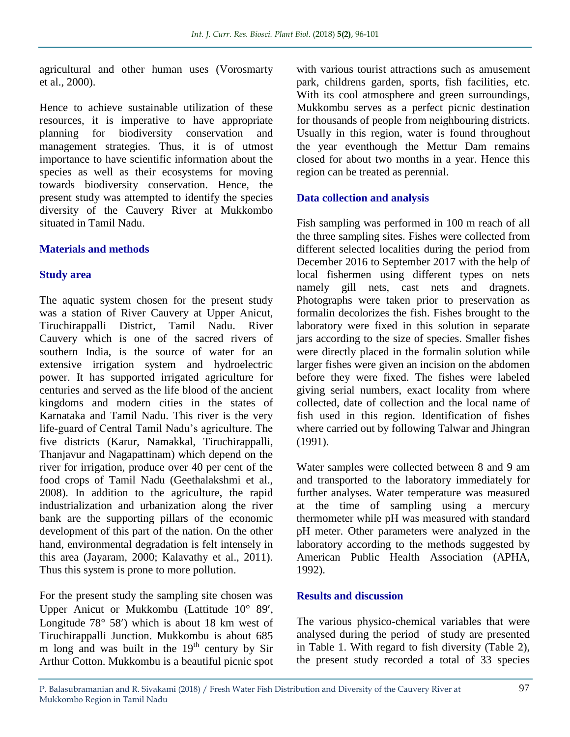agricultural and other human uses (Vorosmarty et al., 2000).

Hence to achieve sustainable utilization of these resources, it is imperative to have appropriate planning for biodiversity conservation and management strategies. Thus, it is of utmost importance to have scientific information about the species as well as their ecosystems for moving towards biodiversity conservation. Hence, the present study was attempted to identify the species diversity of the Cauvery River at Mukkombo situated in Tamil Nadu.

#### **Materials and methods**

#### **Study area**

The aquatic system chosen for the present study was a station of River Cauvery at Upper Anicut, Tiruchirappalli District, Tamil Nadu. River Cauvery which is one of the sacred rivers of southern India, is the source of water for an extensive irrigation system and hydroelectric power. It has supported irrigated agriculture for centuries and served as the life blood of the ancient kingdoms and modern cities in the states of Karnataka and Tamil Nadu. This river is the very life-guard of Central Tamil Nadu's agriculture. The five districts (Karur, Namakkal, Tiruchirappalli, Thanjavur and Nagapattinam) which depend on the river for irrigation, produce over 40 per cent of the food crops of Tamil Nadu (Geethalakshmi et al., 2008). In addition to the agriculture, the rapid industrialization and urbanization along the river bank are the supporting pillars of the economic development of this part of the nation. On the other hand, environmental degradation is felt intensely in this area (Jayaram, 2000; Kalavathy et al., 2011). Thus this system is prone to more pollution.

For the present study the sampling site chosen was Upper Anicut or Mukkombu (Lattitude 10° 89', Longitude  $78^{\circ}$  58') which is about 18 km west of Tiruchirappalli Junction. Mukkombu is about 685 m long and was built in the  $19<sup>th</sup>$  century by Sir Arthur Cotton. Mukkombu is a beautiful picnic spot

with various tourist attractions such as amusement park, childrens garden, sports, fish facilities, etc. With its cool atmosphere and green surroundings, Mukkombu serves as a perfect picnic destination for thousands of people from neighbouring districts. Usually in this region, water is found throughout the year eventhough the Mettur Dam remains closed for about two months in a year. Hence this region can be treated as perennial.

#### **Data collection and analysis**

Fish sampling was performed in 100 m reach of all the three sampling sites. Fishes were collected from different selected localities during the period from December 2016 to September 2017 with the help of local fishermen using different types on nets namely gill nets, cast nets and dragnets. Photographs were taken prior to preservation as formalin decolorizes the fish. Fishes brought to the laboratory were fixed in this solution in separate jars according to the size of species. Smaller fishes were directly placed in the formalin solution while larger fishes were given an incision on the abdomen before they were fixed. The fishes were labeled giving serial numbers, exact locality from where collected, date of collection and the local name of fish used in this region. Identification of fishes where carried out by following Talwar and Jhingran (1991).

Water samples were collected between 8 and 9 am and transported to the laboratory immediately for further analyses. Water temperature was measured at the time of sampling using a mercury thermometer while pH was measured with standard pH meter. Other parameters were analyzed in the laboratory according to the methods suggested by American Public Health Association (APHA, 1992).

#### **Results and discussion**

The various physico-chemical variables that were analysed during the period of study are presented in Table 1. With regard to fish diversity (Table 2), the present study recorded a total of 33 species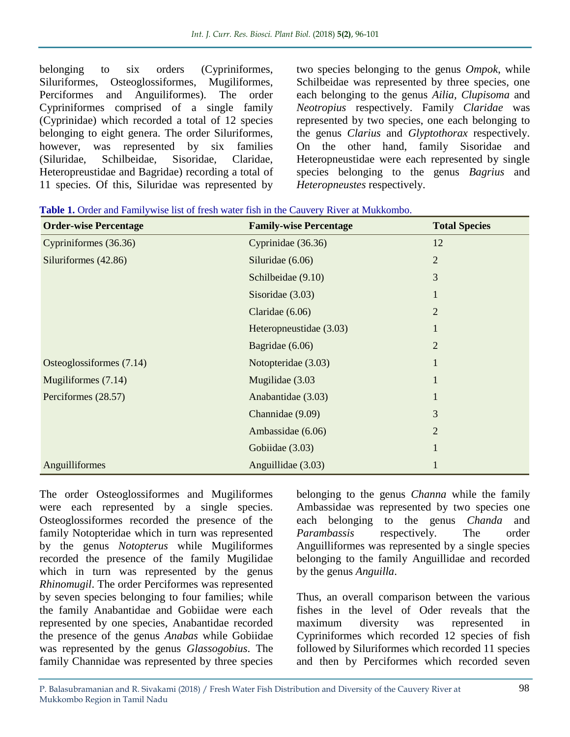belonging to six orders (Cypriniformes, Siluriformes, Osteoglossiformes, Mugiliformes, Perciformes and Anguiliformes). The order Cypriniformes comprised of a single family (Cyprinidae) which recorded a total of 12 species belonging to eight genera. The order Siluriformes, however, was represented by six families (Siluridae, Schilbeidae, Sisoridae, Claridae, Heteropreustidae and Bagridae) recording a total of 11 species. Of this, Siluridae was represented by

two species belonging to the genus *Ompok*, while Schilbeidae was represented by three species, one each belonging to the genus *Ailia, Clupisoma* and *Neotropius* respectively. Family *Claridae* was represented by two species, one each belonging to the genus *Clarius* and *Glyptothorax* respectively. On the other hand, family Sisoridae and Heteropneustidae were each represented by single species belonging to the genus *Bagrius* and *Heteropneustes* respectively.

| <b>Order-wise Percentage</b> | <b>Family-wise Percentage</b> | <b>Total Species</b> |
|------------------------------|-------------------------------|----------------------|
| Cypriniformes (36.36)        | Cyprinidae (36.36)            | 12                   |
| Siluriformes (42.86)         | Siluridae (6.06)              | $\overline{2}$       |
|                              | Schilbeidae (9.10)            | 3                    |
|                              | Sisoridae $(3.03)$            | 1                    |
|                              | Claridae $(6.06)$             | 2                    |
|                              | Heteropneustidae (3.03)       | $\mathbf{1}$         |
|                              | Bagridae $(6.06)$             | $\overline{2}$       |
| Osteoglossiformes (7.14)     | Notopteridae (3.03)           | $\mathbf{1}$         |
| Mugiliformes (7.14)          | Mugilidae (3.03               | 1                    |
| Perciformes (28.57)          | Anabantidae (3.03)            | 1                    |
|                              | Channidae (9.09)              | 3                    |
|                              | Ambassidae (6.06)             | $\overline{2}$       |
|                              | Gobiidae (3.03)               | 1                    |
| Anguilliformes               | Anguillidae (3.03)            |                      |

| Table 1. Order and Familywise list of fresh water fish in the Cauvery River at Mukkombo. |
|------------------------------------------------------------------------------------------|
|------------------------------------------------------------------------------------------|

The order Osteoglossiformes and Mugiliformes were each represented by a single species. Osteoglossiformes recorded the presence of the family Notopteridae which in turn was represented by the genus *Notopterus* while Mugiliformes recorded the presence of the family Mugilidae which in turn was represented by the genus *Rhinomugil*. The order Perciformes was represented by seven species belonging to four families; while the family Anabantidae and Gobiidae were each represented by one species, Anabantidae recorded the presence of the genus *Anabas* while Gobiidae was represented by the genus *Glassogobius*. The family Channidae was represented by three species

belonging to the genus *Channa* while the family Ambassidae was represented by two species one each belonging to the genus *Chanda* and *Parambassis* respectively. The order Anguilliformes was represented by a single species belonging to the family Anguillidae and recorded by the genus *Anguilla*.

Thus, an overall comparison between the various fishes in the level of Oder reveals that the maximum diversity was represented in Cypriniformes which recorded 12 species of fish followed by Siluriformes which recorded 11 species and then by Perciformes which recorded seven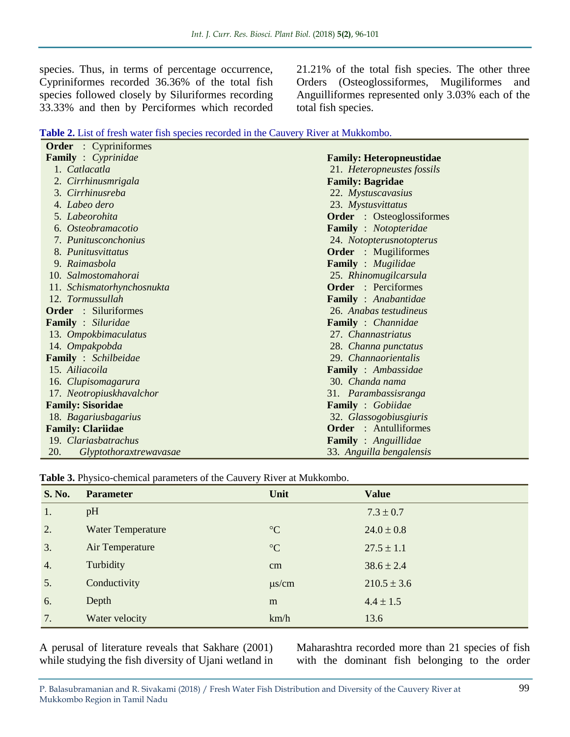species. Thus, in terms of percentage occurrence, Cypriniformes recorded 36.36% of the total fish species followed closely by Siluriformes recording 33.33% and then by Perciformes which recorded

21.21% of the total fish species. The other three Orders (Osteoglossiformes, Mugiliformes and Anguilliformes represented only 3.03% each of the total fish species.

| <b>Table 2.</b> List of fresh water fish species recorded in the Cauvery River at Mukkombo. |
|---------------------------------------------------------------------------------------------|
|---------------------------------------------------------------------------------------------|

| <b>Order</b> : Cypriniformes         |                                  |  |
|--------------------------------------|----------------------------------|--|
| <b>Family</b> : Cyprinidae           | <b>Family: Heteropneustidae</b>  |  |
| 1. Catlacatla                        | 21. Heteropneustes fossils       |  |
| 2. Cirrhinusmrigala                  | <b>Family: Bagridae</b>          |  |
| 3. Cirrhinusreba                     | 22. Mystuscavasius               |  |
| 4. Labeo dero                        | 23. Mystusvittatus               |  |
| 5. Labeorohita                       | <b>Order</b> : Osteoglossiformes |  |
| 6. Osteobramacotio                   | <b>Family</b> : Notopteridae     |  |
| 7. Punitusconchonius                 | 24. Notopterusnotopterus         |  |
| 8. Punitusvittatus                   | <b>Order</b> : Mugiliformes      |  |
| 9. Raimasbola                        | <b>Family</b> : Mugilidae        |  |
| 10. Salmostomahorai                  | 25. Rhinomugilcarsula            |  |
| 11. Schismatorhynchosnukta           | <b>Order</b> : Perciformes       |  |
| 12. Tormussullah                     | <b>Family</b> : Anabantidae      |  |
| <b>Order</b> : Siluriformes          | 26. Anabas testudineus           |  |
| <b>Family</b> : Siluridae            | <b>Family</b> : Channidae        |  |
| 13. Ompokbimaculatus                 | 27. Channastriatus               |  |
| 14. Ompakpobda                       | 28. Channa punctatus             |  |
| <b>Family</b> : Schilbeidae          | 29. Channaorientalis             |  |
| 15. Ailiacoila                       | Family : Ambassidae              |  |
| 16. Clupisomagarura                  | 30. Chanda nama                  |  |
| 17. Neotropiuskhavalchor             | 31. Parambassisranga             |  |
| <b>Family: Sisoridae</b>             | <b>Family</b> : Gobiidae         |  |
| 18. Bagariusbagarius                 | 32. Glassogobiusgiuris           |  |
| <b>Family: Clariidae</b>             | <b>Order</b> : Antulliformes     |  |
| 19. Clariasbatrachus                 | <b>Family</b> : Anguillidae      |  |
| 20.<br><i>Glyptothoraxtrewavasae</i> | 33. Anguilla bengalensis         |  |

**Table 3.** Physico-chemical parameters of the Cauvery River at Mukkombo.

| <b>S. No.</b>    | <b>Parameter</b>         | Unit            | <b>Value</b>    |
|------------------|--------------------------|-----------------|-----------------|
| 1.               | pH                       |                 | $7.3 \pm 0.7$   |
| 2.               | <b>Water Temperature</b> | $\rm ^{\circ}C$ | $24.0 \pm 0.8$  |
| 3.               | Air Temperature          | $\rm ^{\circ}C$ | $27.5 \pm 1.1$  |
| $\overline{4}$ . | Turbidity                | cm              | $38.6 \pm 2.4$  |
| 5.               | Conductivity             | $\mu$ s/cm      | $210.5 \pm 3.6$ |
| 6.               | Depth                    | m               | $4.4 \pm 1.5$   |
| 7.               | Water velocity           | km/h            | 13.6            |

A perusal of literature reveals that Sakhare (2001) while studying the fish diversity of Ujani wetland in

Maharashtra recorded more than 21 species of fish with the dominant fish belonging to the order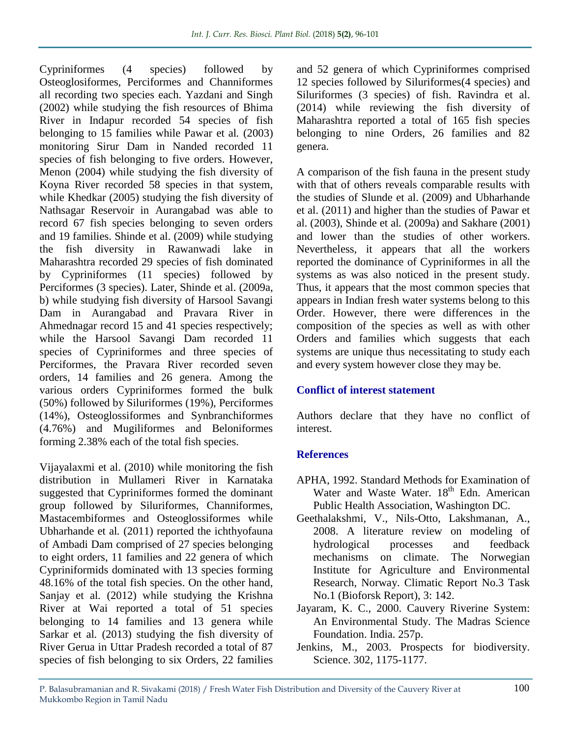Cypriniformes (4 species) followed by Osteoglosiformes, Perciformes and Channiformes all recording two species each. Yazdani and Singh (2002) while studying the fish resources of Bhima River in Indapur recorded 54 species of fish belonging to 15 families while Pawar et al*.* (2003) monitoring Sirur Dam in Nanded recorded 11 species of fish belonging to five orders. However, Menon (2004) while studying the fish diversity of Koyna River recorded 58 species in that system, while Khedkar (2005) studying the fish diversity of Nathsagar Reservoir in Aurangabad was able to record 67 fish species belonging to seven orders and 19 families. Shinde et al. (2009) while studying the fish diversity in Rawanwadi lake in Maharashtra recorded 29 species of fish dominated by Cypriniformes (11 species) followed by Perciformes (3 species). Later, Shinde et al. (2009a, b) while studying fish diversity of Harsool Savangi Dam in Aurangabad and Pravara River in Ahmednagar record 15 and 41 species respectively; while the Harsool Savangi Dam recorded 11 species of Cypriniformes and three species of Perciformes, the Pravara River recorded seven orders, 14 families and 26 genera. Among the various orders Cypriniformes formed the bulk (50%) followed by Siluriformes (19%), Perciformes (14%), Osteoglossiformes and Synbranchiformes (4.76%) and Mugiliformes and Beloniformes forming 2.38% each of the total fish species.

Vijayalaxmi et al. (2010) while monitoring the fish distribution in Mullameri River in Karnataka suggested that Cypriniformes formed the dominant group followed by Siluriformes, Channiformes, Mastacembiformes and Osteoglossiformes while Ubharhande et al*.* (2011) reported the ichthyofauna of Ambadi Dam comprised of 27 species belonging to eight orders, 11 families and 22 genera of which Cypriniformids dominated with 13 species forming 48.16% of the total fish species. On the other hand, Sanjay et al*.* (2012) while studying the Krishna River at Wai reported a total of 51 species belonging to 14 families and 13 genera while Sarkar et al*.* (2013) studying the fish diversity of River Gerua in Uttar Pradesh recorded a total of 87 species of fish belonging to six Orders, 22 families

and 52 genera of which Cypriniformes comprised 12 species followed by Siluriformes(4 species) and Siluriformes (3 species) of fish. Ravindra et al. (2014) while reviewing the fish diversity of Maharashtra reported a total of 165 fish species belonging to nine Orders, 26 families and 82 genera.

A comparison of the fish fauna in the present study with that of others reveals comparable results with the studies of Slunde et al. (2009) and Ubharhande et al. (2011) and higher than the studies of Pawar et al. (2003), Shinde et al*.* (2009a) and Sakhare (2001) and lower than the studies of other workers. Nevertheless, it appears that all the workers reported the dominance of Cypriniformes in all the systems as was also noticed in the present study. Thus, it appears that the most common species that appears in Indian fresh water systems belong to this Order. However, there were differences in the composition of the species as well as with other Orders and families which suggests that each systems are unique thus necessitating to study each and every system however close they may be.

### **Conflict of interest statement**

Authors declare that they have no conflict of interest.

#### **References**

- APHA, 1992. Standard Methods for Examination of Water and Waste Water.  $18<sup>th</sup>$  Edn. American Public Health Association, Washington DC.
- Geethalakshmi, V., Nils-Otto, Lakshmanan, A., 2008. A literature review on modeling of hydrological processes and feedback mechanisms on climate. The Norwegian Institute for Agriculture and Environmental Research, Norway. Climatic Report No.3 Task No.1 (Bioforsk Report), 3: 142.
- Jayaram, K. C., 2000. Cauvery Riverine System: An Environmental Study. The Madras Science Foundation. India. 257p.
- Jenkins, M., 2003. Prospects for biodiversity. Science. 302, 1175-1177.